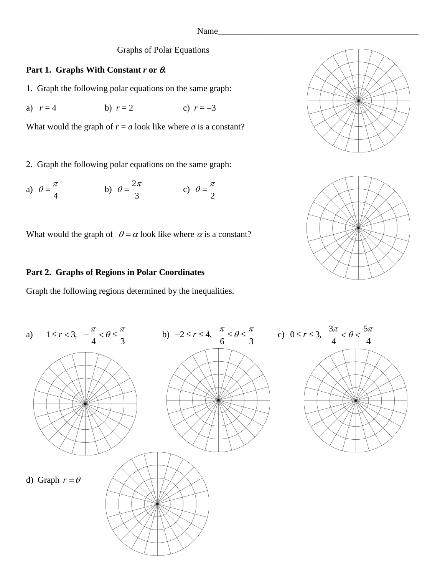#### Graphs of Polar Equations

### **Part 1. Graphs With Constant** *r* **or .**

- 1. Graph the following polar equations on the same graph:
- a)  $r = 4$  b)  $r = 2$  c)  $r = -3$

What would the graph of  $r = a$  look like where  $a$  is a constant?

2. Graph the following polar equations on the same graph:

a) 4  $heta = \frac{\pi}{4}$  b)  $heta = \frac{2}{4}$ 3  $heta = \frac{2\pi}{c}$  c) 2  $\theta = \frac{\pi}{4}$ 

What would the graph of  $\theta = \alpha$  look like where  $\alpha$  is a constant?

#### **Part 2. Graphs of Regions in Polar Coordinates**

Graph the following regions determined by the inequalities.





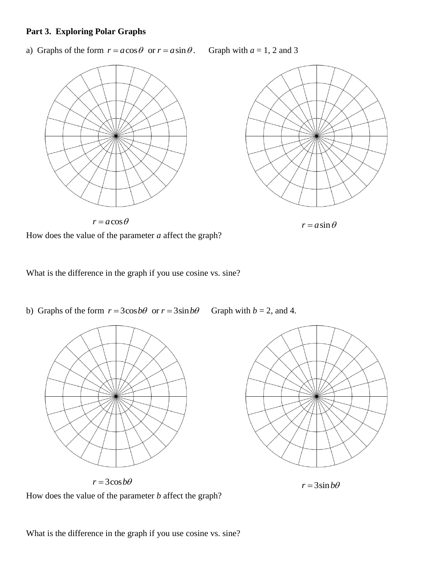## **Part 3. Exploring Polar Graphs**

a) Graphs of the form  $r = a \cos \theta$  or  $r = a \sin \theta$ . Graph with  $a = 1, 2$  and 3





 $r = a \cos \theta$   $r = a \sin \theta$ 

How does the value of the parameter *a* affect the graph?

What is the difference in the graph if you use cosine vs. sine?

b) Graphs of the form  $r = 3\cos b\theta$  or  $r = 3\sin b\theta$  Graph with  $b = 2$ , and 4.





 $r = 3\cos b\theta$   $r = 3\sin b\theta$ 

How does the value of the parameter *b* affect the graph?

What is the difference in the graph if you use cosine vs. sine?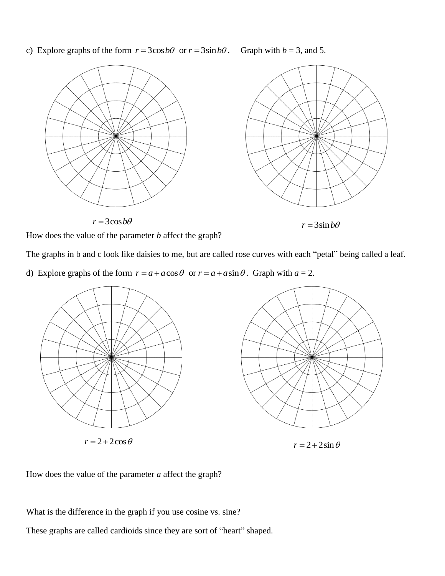c) Explore graphs of the form  $r = 3\cos b\theta$  or  $r = 3\sin b\theta$ . Graph with  $b = 3$ , and 5.



How does the value of the parameter *b* affect the graph?

The graphs in b and c look like daisies to me, but are called rose curves with each "petal" being called a leaf.

d) Explore graphs of the form  $r = a + a \cos \theta$  or  $r = a + a \sin \theta$ . Graph with  $a = 2$ .



How does the value of the parameter *a* affect the graph?

What is the difference in the graph if you use cosine vs. sine?

These graphs are called cardioids since they are sort of "heart" shaped.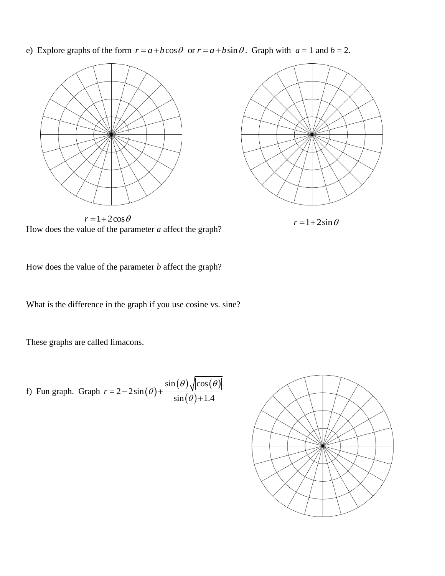e) Explore graphs of the form  $r = a + b \cos \theta$  or  $r = a + b \sin \theta$ . Graph with  $a = 1$  and  $b = 2$ .





How does the value of the parameter *a* affect the graph?  $r = 1 + 2\cos\theta$   $r = 1 + 2\sin\theta$ 

How does the value of the parameter *b* affect the graph?

What is the difference in the graph if you use cosine vs. sine?

These graphs are called limacons.

f) Fun graph. Graph 
$$
r = 2 - 2\sin(\theta) + \frac{\sin(\theta)\sqrt{\cos(\theta)}}{\sin(\theta) + 1.4}
$$

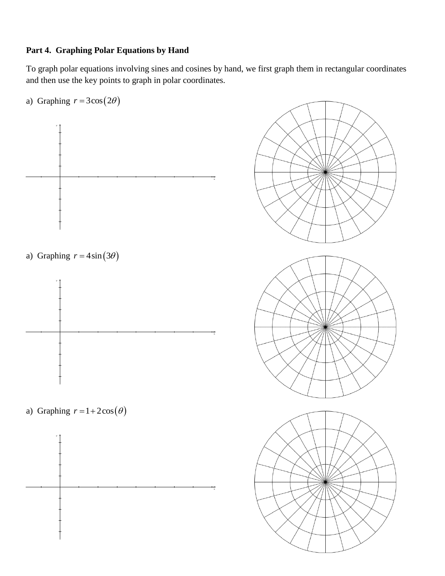# **Part 4. Graphing Polar Equations by Hand**

To graph polar equations involving sines and cosines by hand, we first graph them in rectangular coordinates and then use the key points to graph in polar coordinates.